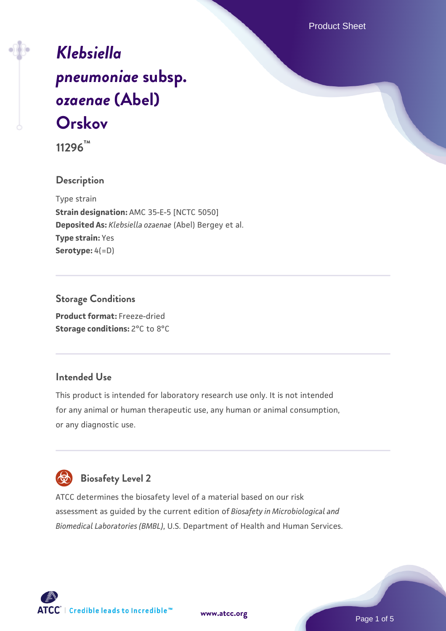Product Sheet

# *[Klebsiella](https://www.atcc.org/products/11296) [pneumoniae](https://www.atcc.org/products/11296)* **[subsp.](https://www.atcc.org/products/11296)** *[ozaenae](https://www.atcc.org/products/11296)* **[\(Abel\)](https://www.atcc.org/products/11296) [Orskov](https://www.atcc.org/products/11296)**

**11296™**

## **Description**

Type strain **Strain designation:** AMC 35-E-5 [NCTC 5050] **Deposited As:** *Klebsiella ozaenae* (Abel) Bergey et al. **Type strain:** Yes **Serotype:** 4(=D)

## **Storage Conditions**

**Product format:** Freeze-dried **Storage conditions: 2°C to 8°C** 

#### **Intended Use**

This product is intended for laboratory research use only. It is not intended for any animal or human therapeutic use, any human or animal consumption, or any diagnostic use.



# **Biosafety Level 2**

ATCC determines the biosafety level of a material based on our risk assessment as guided by the current edition of *Biosafety in Microbiological and Biomedical Laboratories (BMBL)*, U.S. Department of Health and Human Services.

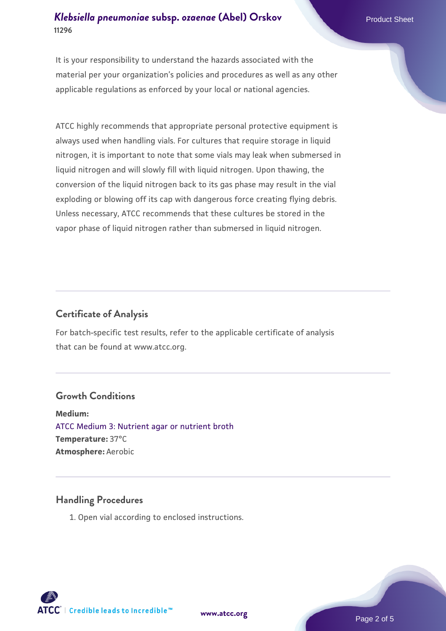## *[Klebsiella pneumoniae](https://www.atcc.org/products/11296)* **[subsp.](https://www.atcc.org/products/11296)** *[ozaenae](https://www.atcc.org/products/11296)* **[\(Abel\) Orskov](https://www.atcc.org/products/11296) Product Sheet 11296**

It is your responsibility to understand the hazards associated with the material per your organization's policies and procedures as well as any other applicable regulations as enforced by your local or national agencies.

ATCC highly recommends that appropriate personal protective equipment is always used when handling vials. For cultures that require storage in liquid nitrogen, it is important to note that some vials may leak when submersed in liquid nitrogen and will slowly fill with liquid nitrogen. Upon thawing, the conversion of the liquid nitrogen back to its gas phase may result in the vial exploding or blowing off its cap with dangerous force creating flying debris. Unless necessary, ATCC recommends that these cultures be stored in the vapor phase of liquid nitrogen rather than submersed in liquid nitrogen.

## **Certificate of Analysis**

For batch-specific test results, refer to the applicable certificate of analysis that can be found at www.atcc.org.

## **Growth Conditions**

**Medium:**  [ATCC Medium 3: Nutrient agar or nutrient broth](https://www.atcc.org/-/media/product-assets/documents/microbial-media-formulations/3/atcc-medium-3.pdf?rev=7510837507e64d849c62a46b5b2197a1) **Temperature:** 37°C **Atmosphere:** Aerobic

#### **Handling Procedures**

1. Open vial according to enclosed instructions.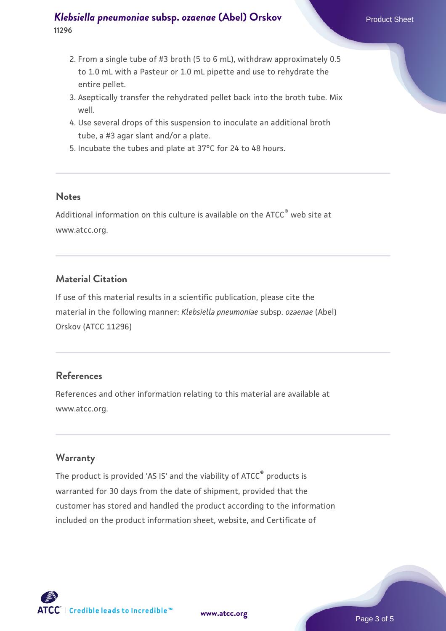## *[Klebsiella pneumoniae](https://www.atcc.org/products/11296)* **[subsp.](https://www.atcc.org/products/11296)** *[ozaenae](https://www.atcc.org/products/11296)* **[\(Abel\) Orskov](https://www.atcc.org/products/11296) Product Sheet 11296**

- 2. From a single tube of #3 broth (5 to 6 mL), withdraw approximately 0.5 to 1.0 mL with a Pasteur or 1.0 mL pipette and use to rehydrate the entire pellet.
- 3. Aseptically transfer the rehydrated pellet back into the broth tube. Mix well.
- 4. Use several drops of this suspension to inoculate an additional broth tube, a #3 agar slant and/or a plate.
- 5. Incubate the tubes and plate at 37°C for 24 to 48 hours.

#### **Notes**

Additional information on this culture is available on the ATCC® web site at www.atcc.org.

## **Material Citation**

If use of this material results in a scientific publication, please cite the material in the following manner: *Klebsiella pneumoniae* subsp. *ozaenae* (Abel) Orskov (ATCC 11296)

## **References**

References and other information relating to this material are available at www.atcc.org.

#### **Warranty**

The product is provided 'AS IS' and the viability of ATCC® products is warranted for 30 days from the date of shipment, provided that the customer has stored and handled the product according to the information included on the product information sheet, website, and Certificate of

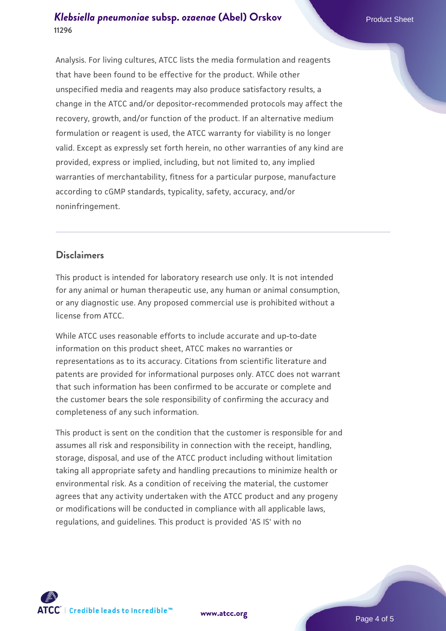## *[Klebsiella pneumoniae](https://www.atcc.org/products/11296)* **[subsp.](https://www.atcc.org/products/11296)** *[ozaenae](https://www.atcc.org/products/11296)* **[\(Abel\) Orskov](https://www.atcc.org/products/11296) Product Sheet 11296**

Analysis. For living cultures, ATCC lists the media formulation and reagents that have been found to be effective for the product. While other unspecified media and reagents may also produce satisfactory results, a change in the ATCC and/or depositor-recommended protocols may affect the recovery, growth, and/or function of the product. If an alternative medium formulation or reagent is used, the ATCC warranty for viability is no longer valid. Except as expressly set forth herein, no other warranties of any kind are provided, express or implied, including, but not limited to, any implied warranties of merchantability, fitness for a particular purpose, manufacture according to cGMP standards, typicality, safety, accuracy, and/or noninfringement.

## **Disclaimers**

This product is intended for laboratory research use only. It is not intended for any animal or human therapeutic use, any human or animal consumption, or any diagnostic use. Any proposed commercial use is prohibited without a license from ATCC.

While ATCC uses reasonable efforts to include accurate and up-to-date information on this product sheet, ATCC makes no warranties or representations as to its accuracy. Citations from scientific literature and patents are provided for informational purposes only. ATCC does not warrant that such information has been confirmed to be accurate or complete and the customer bears the sole responsibility of confirming the accuracy and completeness of any such information.

This product is sent on the condition that the customer is responsible for and assumes all risk and responsibility in connection with the receipt, handling, storage, disposal, and use of the ATCC product including without limitation taking all appropriate safety and handling precautions to minimize health or environmental risk. As a condition of receiving the material, the customer agrees that any activity undertaken with the ATCC product and any progeny or modifications will be conducted in compliance with all applicable laws, regulations, and guidelines. This product is provided 'AS IS' with no



**[www.atcc.org](http://www.atcc.org)**

Page 4 of 5